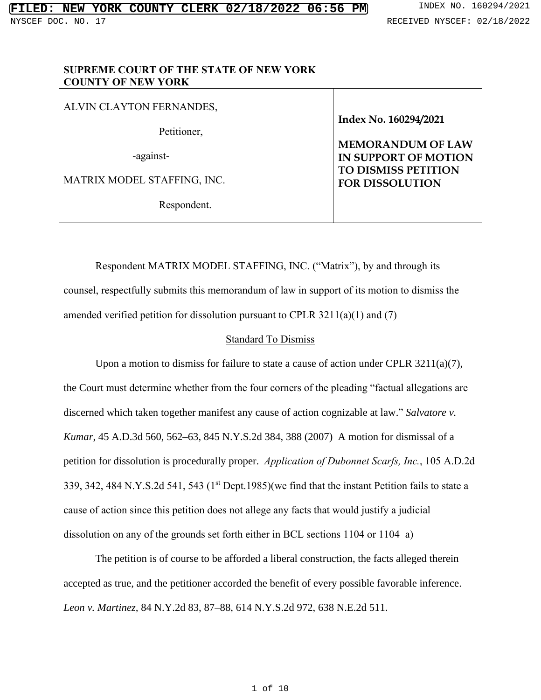## **SUPREME COURT OF THE STATE OF NEW YORK COUNTY OF NEW YORK**

| ALVIN CLAYTON FERNANDES,    |                                                  |
|-----------------------------|--------------------------------------------------|
| Petitioner,                 | Index No. 160294/2021                            |
| -against-                   | <b>MEMORANDUM OF LAW</b><br>IN SUPPORT OF MOTION |
| MATRIX MODEL STAFFING, INC. | TO DISMISS PETITION<br><b>FOR DISSOLUTION</b>    |
| Respondent.                 |                                                  |

Respondent MATRIX MODEL STAFFING, INC. ("Matrix"), by and through its counsel, respectfully submits this memorandum of law in support of its motion to dismiss the amended verified petition for dissolution pursuant to CPLR 3211(a)(1) and (7)

## Standard To Dismiss

Upon a motion to dismiss for failure to state a cause of action under CPLR 3211(a)(7), the Court must determine whether from the four corners of the pleading "factual allegations are discerned which taken together manifest any cause of action cognizable at law." *Salvatore v. Kumar*, 45 A.D.3d 560, 562–63, 845 N.Y.S.2d 384, 388 (2007) A motion for dismissal of a petition for dissolution is procedurally proper. *Application of Dubonnet Scarfs, Inc.*, 105 A.D.2d 339, 342, 484 N.Y.S.2d 541, 543  $(1<sup>st</sup>$  Dept.1985)(we find that the instant Petition fails to state a cause of action since this petition does not allege any facts that would justify a judicial dissolution on any of the grounds set forth either in BCL sections 1104 or 1104–a)

The petition is of course to be afforded a liberal construction, the facts alleged therein accepted as true, and the petitioner accorded the benefit of every possible favorable inference. *Leon v. Martinez,* 84 N.Y.2d 83, 87–88, 614 N.Y.S.2d 972, 638 N.E.2d 511.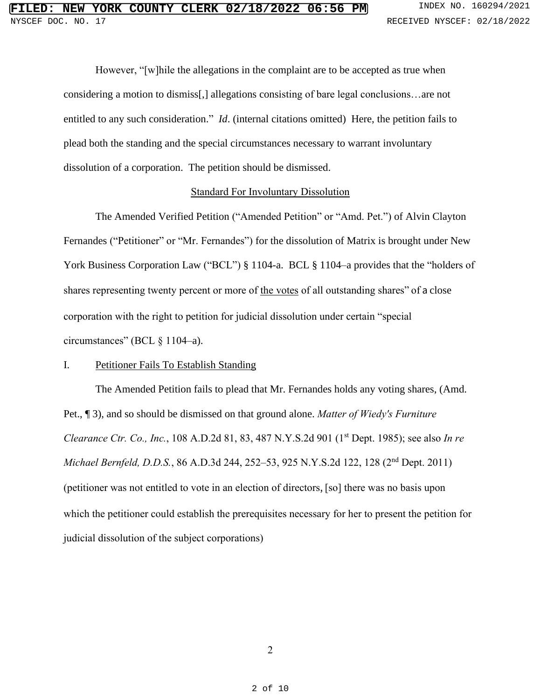However, "[w]hile the allegations in the complaint are to be accepted as true when considering a motion to dismiss[,] allegations consisting of bare legal conclusions…are not entitled to any such consideration." *Id*. (internal citations omitted) Here, the petition fails to plead both the standing and the special circumstances necessary to warrant involuntary dissolution of a corporation. The petition should be dismissed.

#### Standard For Involuntary Dissolution

The Amended Verified Petition ("Amended Petition" or "Amd. Pet.") of Alvin Clayton Fernandes ("Petitioner" or "Mr. Fernandes") for the dissolution of Matrix is brought under New York Business Corporation Law ("BCL") § 1104-a. BCL § 1104–a provides that the "holders of shares representing twenty percent or more of the votes of all outstanding shares" of a close corporation with the right to petition for judicial dissolution under certain "special circumstances" (BCL § 1104–a).

## I. Petitioner Fails To Establish Standing

The Amended Petition fails to plead that Mr. Fernandes holds any voting shares, (Amd. Pet., ¶ 3), and so should be dismissed on that ground alone. *Matter of Wiedy's Furniture Clearance Ctr. Co., Inc.*, 108 A.D.2d 81, 83, 487 N.Y.S.2d 901 (1 st Dept. 1985); see also *In re Michael Bernfeld, D.D.S.*, 86 A.D.3d 244, 252–53, 925 N.Y.S.2d 122, 128 (2 nd Dept. 2011) (petitioner was not entitled to vote in an election of directors, [so] there was no basis upon which the petitioner could establish the prerequisites necessary for her to present the petition for judicial dissolution of the subject corporations)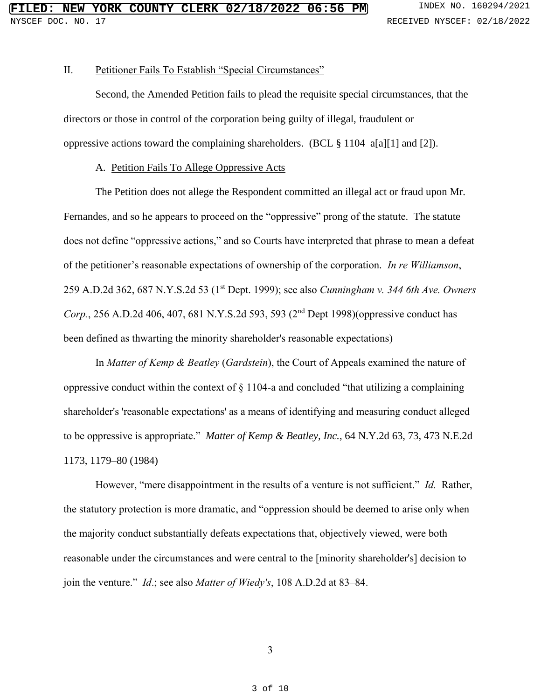## II. Petitioner Fails To Establish "Special Circumstances"

Second, the Amended Petition fails to plead the requisite special circumstances, that the directors or those in control of the corporation being guilty of illegal, fraudulent or oppressive actions toward the complaining shareholders. (BCL § 1104–a[a][1] and [2]).

#### A. Petition Fails To Allege Oppressive Acts

The Petition does not allege the Respondent committed an illegal act or fraud upon Mr. Fernandes, and so he appears to proceed on the "oppressive" prong of the statute. The statute does not define "oppressive actions," and so Courts have interpreted that phrase to mean a defeat of the petitioner's reasonable expectations of ownership of the corporation*. In re Williamson*, 259 A.D.2d 362, 687 N.Y.S.2d 53 (1 st Dept. 1999); see also *Cunningham v. 344 6th Ave. Owners* Corp., 256 A.D.2d 406, 407, 681 N.Y.S.2d 593, 593 (2<sup>nd</sup> Dept 1998)(oppressive conduct has been defined as thwarting the minority shareholder's reasonable expectations)

In *Matter of Kemp & Beatley* (*Gardstein*), the Court of Appeals examined the nature of oppressive conduct within the context of § 1104-a and concluded "that utilizing a complaining shareholder's 'reasonable expectations' as a means of identifying and measuring conduct alleged to be oppressive is appropriate." *Matter of Kemp & Beatley, Inc.*, 64 N.Y.2d 63, 73, 473 N.E.2d 1173, 1179–80 (1984)

However, "mere disappointment in the results of a venture is not sufficient." *Id.* Rather, the statutory protection is more dramatic, and "oppression should be deemed to arise only when the majority conduct substantially defeats expectations that, objectively viewed, were both reasonable under the circumstances and were central to the [minority shareholder's] decision to join the venture." *Id*.; see also *Matter of Wiedy's*, 108 A.D.2d at 83–84.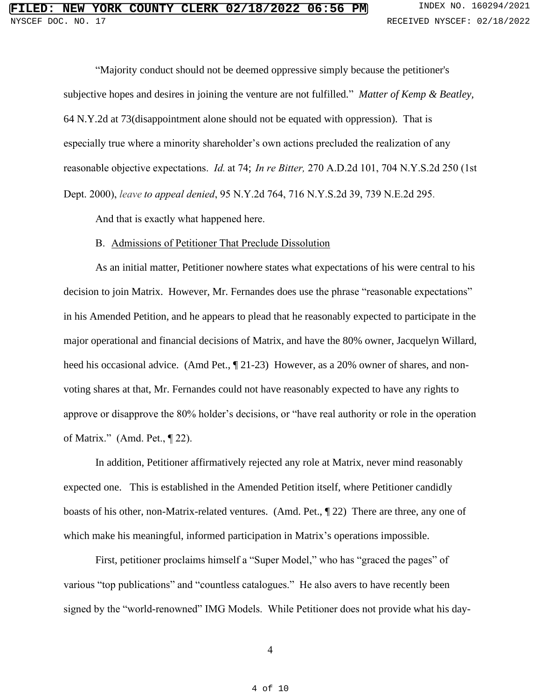"Majority conduct should not be deemed oppressive simply because the petitioner's subjective hopes and desires in joining the venture are not fulfilled." *Matter of Kemp & Beatley,* 64 N.Y.2d at 73(disappointment alone should not be equated with oppression). That is especially true where a minority shareholder's own actions precluded the realization of any reasonable objective expectations. *Id.* at 74; *In re Bitter,* 270 A.D.2d 101, 704 [N.Y.S.2d](https://1.next.westlaw.com/Link/Document/FullText?findType=Y&serNum=2000076262&pubNum=0000602&originatingDoc=N44F39580881311D882FF83A3182D7B4A&refType=RP&originationContext=notesOfDecisions&contextData=%28sc.DocLink%29&transitionType=NotesOfDecisionItem&ppcid=0085a036d3324aecb5eaf8a4b65f5fcb) 250 (1st Dept. 2000), *leave to appeal denied*, 95 N.Y.2d 764, 716 [N.Y.S.2d](https://1.next.westlaw.com/Link/Document/FullText?findType=Y&serNum=2000587579&pubNum=0000578&originatingDoc=N44F39580881311D882FF83A3182D7B4A&refType=RP&originationContext=notesOfDecisions&contextData=%28sc.DocLink%29&transitionType=NotesOfDecisionItem&ppcid=0085a036d3324aecb5eaf8a4b65f5fcb) 39, 739 N.E.2d 295.

And that is exactly what happened here.

## B. Admissions of Petitioner That Preclude Dissolution

As an initial matter, Petitioner nowhere states what expectations of his were central to his decision to join Matrix. However, Mr. Fernandes does use the phrase "reasonable expectations" in his Amended Petition, and he appears to plead that he reasonably expected to participate in the major operational and financial decisions of Matrix, and have the 80% owner, Jacquelyn Willard, heed his occasional advice. (Amd Pet.,  $\P$  21-23) However, as a 20% owner of shares, and nonvoting shares at that, Mr. Fernandes could not have reasonably expected to have any rights to approve or disapprove the 80% holder's decisions, or "have real authority or role in the operation of Matrix." (Amd. Pet., ¶ 22).

In addition, Petitioner affirmatively rejected any role at Matrix, never mind reasonably expected one. This is established in the Amended Petition itself, where Petitioner candidly boasts of his other, non-Matrix-related ventures. (Amd. Pet., ¶ 22) There are three, any one of which make his meaningful, informed participation in Matrix's operations impossible.

First, petitioner proclaims himself a "Super Model," who has "graced the pages" of various "top publications" and "countless catalogues." He also avers to have recently been signed by the "world-renowned" IMG Models. While Petitioner does not provide what his day-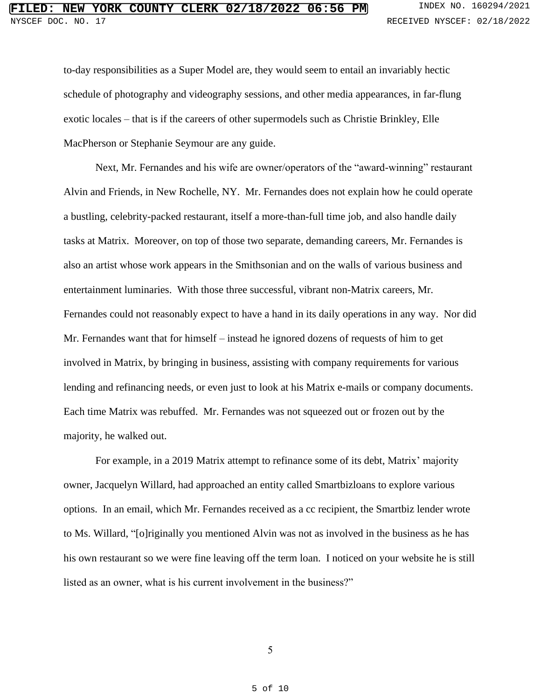to-day responsibilities as a Super Model are, they would seem to entail an invariably hectic schedule of photography and videography sessions, and other media appearances, in far-flung exotic locales – that is if the careers of other supermodels such as Christie Brinkley, Elle MacPherson or Stephanie Seymour are any guide.

Next, Mr. Fernandes and his wife are owner/operators of the "award-winning" restaurant Alvin and Friends, in New Rochelle, NY. Mr. Fernandes does not explain how he could operate a bustling, celebrity-packed restaurant, itself a more-than-full time job, and also handle daily tasks at Matrix. Moreover, on top of those two separate, demanding careers, Mr. Fernandes is also an artist whose work appears in the Smithsonian and on the walls of various business and entertainment luminaries. With those three successful, vibrant non-Matrix careers, Mr. Fernandes could not reasonably expect to have a hand in its daily operations in any way. Nor did Mr. Fernandes want that for himself – instead he ignored dozens of requests of him to get involved in Matrix, by bringing in business, assisting with company requirements for various lending and refinancing needs, or even just to look at his Matrix e-mails or company documents. Each time Matrix was rebuffed. Mr. Fernandes was not squeezed out or frozen out by the majority, he walked out.

For example, in a 2019 Matrix attempt to refinance some of its debt, Matrix' majority owner, Jacquelyn Willard, had approached an entity called Smartbizloans to explore various options. In an email, which Mr. Fernandes received as a cc recipient, the Smartbiz lender wrote to Ms. Willard, "[o]riginally you mentioned Alvin was not as involved in the business as he has his own restaurant so we were fine leaving off the term loan. I noticed on your website he is still listed as an owner, what is his current involvement in the business?"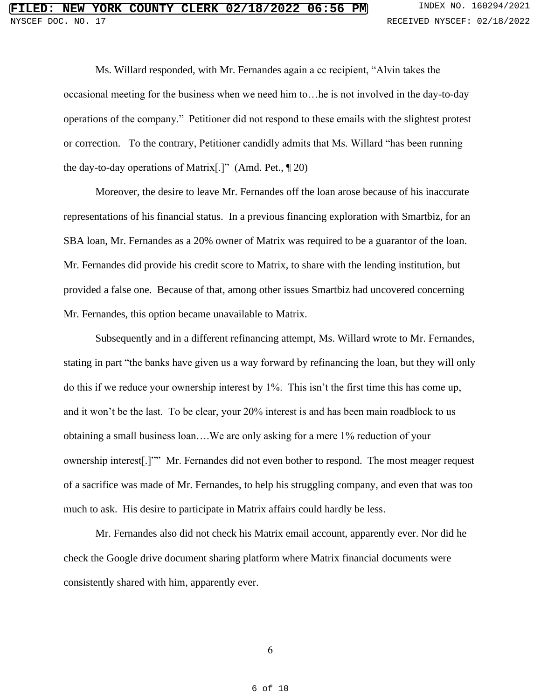Ms. Willard responded, with Mr. Fernandes again a cc recipient, "Alvin takes the occasional meeting for the business when we need him to…he is not involved in the day-to-day operations of the company." Petitioner did not respond to these emails with the slightest protest or correction. To the contrary, Petitioner candidly admits that Ms. Willard "has been running the day-to-day operations of Matrix[.]" (Amd. Pet., ¶ 20)

Moreover, the desire to leave Mr. Fernandes off the loan arose because of his inaccurate representations of his financial status. In a previous financing exploration with Smartbiz, for an SBA loan, Mr. Fernandes as a 20% owner of Matrix was required to be a guarantor of the loan. Mr. Fernandes did provide his credit score to Matrix, to share with the lending institution, but provided a false one. Because of that, among other issues Smartbiz had uncovered concerning Mr. Fernandes, this option became unavailable to Matrix.

Subsequently and in a different refinancing attempt, Ms. Willard wrote to Mr. Fernandes, stating in part "the banks have given us a way forward by refinancing the loan, but they will only do this if we reduce your ownership interest by 1%. This isn't the first time this has come up, and it won't be the last. To be clear, your 20% interest is and has been main roadblock to us obtaining a small business loan….We are only asking for a mere 1% reduction of your ownership interest[.]"" Mr. Fernandes did not even bother to respond. The most meager request of a sacrifice was made of Mr. Fernandes, to help his struggling company, and even that was too much to ask. His desire to participate in Matrix affairs could hardly be less.

Mr. Fernandes also did not check his Matrix email account, apparently ever. Nor did he check the Google drive document sharing platform where Matrix financial documents were consistently shared with him, apparently ever.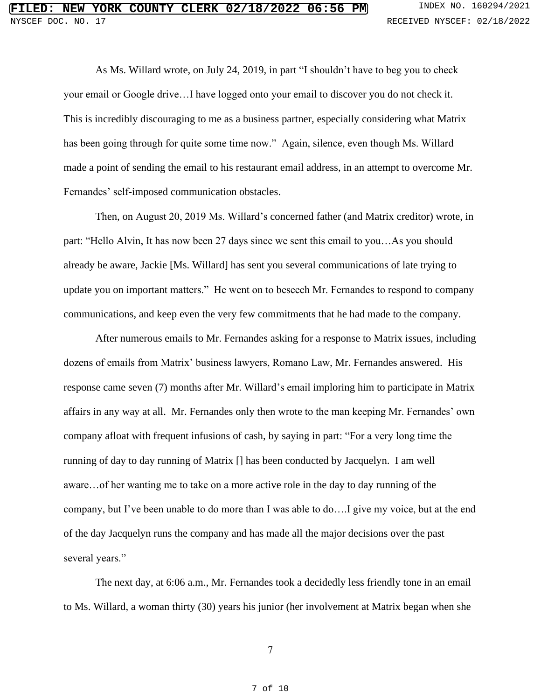As Ms. Willard wrote, on July 24, 2019, in part "I shouldn't have to beg you to check your email or Google drive…I have logged onto your email to discover you do not check it. This is incredibly discouraging to me as a business partner, especially considering what Matrix has been going through for quite some time now." Again, silence, even though Ms. Willard made a point of sending the email to his restaurant email address, in an attempt to overcome Mr. Fernandes' self-imposed communication obstacles.

Then, on August 20, 2019 Ms. Willard's concerned father (and Matrix creditor) wrote, in part: "Hello Alvin, It has now been 27 days since we sent this email to you…As you should already be aware, Jackie [Ms. Willard] has sent you several communications of late trying to update you on important matters." He went on to beseech Mr. Fernandes to respond to company communications, and keep even the very few commitments that he had made to the company.

After numerous emails to Mr. Fernandes asking for a response to Matrix issues, including dozens of emails from Matrix' business lawyers, Romano Law, Mr. Fernandes answered. His response came seven (7) months after Mr. Willard's email imploring him to participate in Matrix affairs in any way at all. Mr. Fernandes only then wrote to the man keeping Mr. Fernandes' own company afloat with frequent infusions of cash, by saying in part: "For a very long time the running of day to day running of Matrix [] has been conducted by Jacquelyn. I am well aware…of her wanting me to take on a more active role in the day to day running of the company, but I've been unable to do more than I was able to do….I give my voice, but at the end of the day Jacquelyn runs the company and has made all the major decisions over the past several years."

The next day, at 6:06 a.m., Mr. Fernandes took a decidedly less friendly tone in an email to Ms. Willard, a woman thirty (30) years his junior (her involvement at Matrix began when she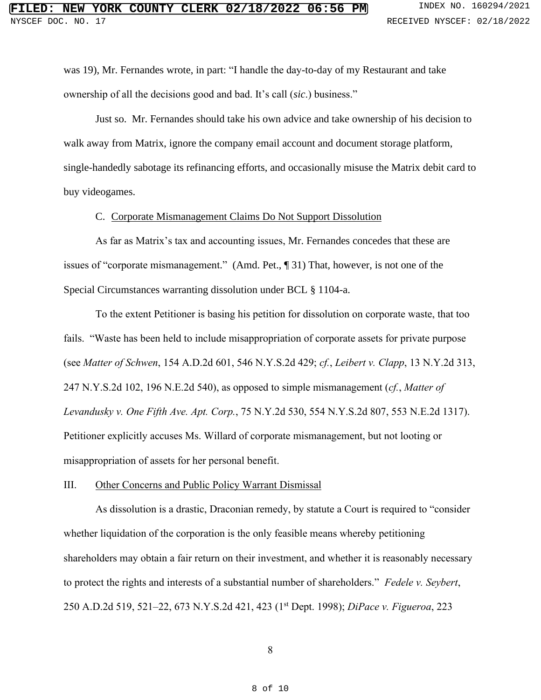was 19), Mr. Fernandes wrote, in part: "I handle the day-to-day of my Restaurant and take ownership of all the decisions good and bad. It's call (*sic*.) business."

Just so. Mr. Fernandes should take his own advice and take ownership of his decision to walk away from Matrix, ignore the company email account and document storage platform, single-handedly sabotage its refinancing efforts, and occasionally misuse the Matrix debit card to buy videogames.

## C. Corporate Mismanagement Claims Do Not Support Dissolution

As far as Matrix's tax and accounting issues, Mr. Fernandes concedes that these are issues of "corporate mismanagement." (Amd. Pet., ¶ 31) That, however, is not one of the Special Circumstances warranting dissolution under BCL § 1104-a.

To the extent Petitioner is basing his petition for dissolution on corporate waste, that too fails. "Waste has been held to include misappropriation of corporate assets for private purpose (see *Matter of Schwen*, 154 A.D.2d 601, 546 N.Y.S.2d 429; *cf.*, *Leibert v. Clapp*, 13 N.Y.2d 313, 247 N.Y.S.2d 102, 196 N.E.2d 540), as opposed to simple mismanagement (*cf.*, *Matter of Levandusky v. One Fifth Ave. Apt. Corp.*, 75 N.Y.2d 530, 554 N.Y.S.2d 807, 553 N.E.2d 1317). Petitioner explicitly accuses Ms. Willard of corporate mismanagement, but not looting or misappropriation of assets for her personal benefit.

#### III. Other Concerns and Public Policy Warrant Dismissal

As dissolution is a drastic, Draconian remedy, by statute a Court is required to "consider whether liquidation of the corporation is the only feasible means whereby petitioning shareholders may obtain a fair return on their investment, and whether it is reasonably necessary to protect the rights and interests of a substantial number of shareholders." *Fedele v. Seybert*, 250 A.D.2d 519, 521–22, 673 N.Y.S.2d 421, 423 (1 st Dept. 1998); *DiPace v. Figueroa*, 223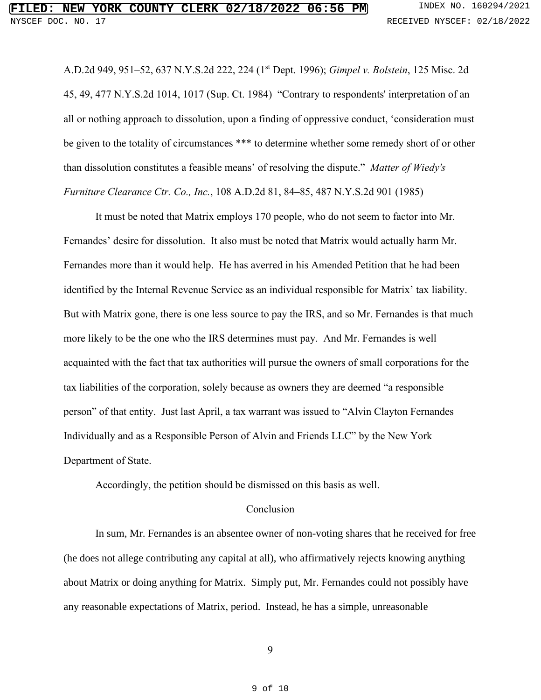A.D.2d 949, 951–52, 637 N.Y.S.2d 222, 224 (1 st Dept. 1996); *Gimpel v. Bolstein*, 125 Misc. 2d 45, 49, 477 N.Y.S.2d 1014, 1017 (Sup. Ct. 1984) "Contrary to respondents' interpretation of an all or nothing approach to dissolution, upon a finding of oppressive conduct, 'consideration must be given to the totality of circumstances \*\*\* to determine whether some remedy short of or other than dissolution constitutes a feasible means' of resolving the dispute." *Matter of Wiedy's Furniture Clearance Ctr. Co., Inc.*, 108 A.D.2d 81, 84–85, 487 N.Y.S.2d 901 (1985)

It must be noted that Matrix employs 170 people, who do not seem to factor into Mr. Fernandes' desire for dissolution. It also must be noted that Matrix would actually harm Mr. Fernandes more than it would help. He has averred in his Amended Petition that he had been identified by the Internal Revenue Service as an individual responsible for Matrix' tax liability. But with Matrix gone, there is one less source to pay the IRS, and so Mr. Fernandes is that much more likely to be the one who the IRS determines must pay. And Mr. Fernandes is well acquainted with the fact that tax authorities will pursue the owners of small corporations for the tax liabilities of the corporation, solely because as owners they are deemed "a responsible person" of that entity. Just last April, a tax warrant was issued to "Alvin Clayton Fernandes Individually and as a Responsible Person of Alvin and Friends LLC" by the New York Department of State.

Accordingly, the petition should be dismissed on this basis as well.

## Conclusion

In sum, Mr. Fernandes is an absentee owner of non-voting shares that he received for free (he does not allege contributing any capital at all), who affirmatively rejects knowing anything about Matrix or doing anything for Matrix. Simply put, Mr. Fernandes could not possibly have any reasonable expectations of Matrix, period. Instead, he has a simple, unreasonable